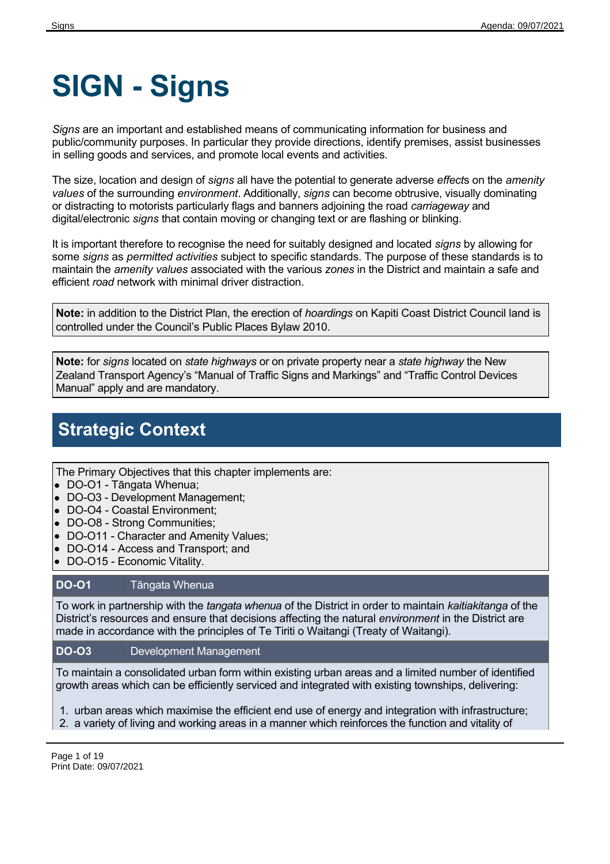# **SIGN - Signs**

*Signs* are an important and established means of communicating information for business and public/community purposes. In particular they provide directions, identify premises, assist businesses in selling goods and services, and promote local events and activities.

The size, location and design of *signs* all have the potential to generate adverse *effect*s on the *amenity values* of the surrounding *environment*. Additionally, *signs* can become obtrusive, visually dominating or distracting to motorists particularly flags and banners adjoining the road *carriageway* and digital/electronic *signs* that contain moving or changing text or are flashing or blinking.

It is important therefore to recognise the need for suitably designed and located *signs* by allowing for some *signs* as *permitted activities* subject to specific standards. The purpose of these standards is to maintain the *amenity values* associated with the various *zones* in the District and maintain a safe and efficient *road* network with minimal driver distraction.

**Note:** in addition to the District Plan, the erection of *hoardings* on Kapiti Coast District Council land is controlled under the Council's Public Places Bylaw 2010.

**Note:** for *signs* located on *state highways* or on private property near a *state highway* the New Zealand Transport Agency's "Manual of Traffic Signs and Markings" and "Traffic Control Devices Manual" apply and are mandatory.

## **Strategic Context**

The Primary Objectives that this chapter implements are:

- DO-O1 Tāngata Whenua;
- DO-O3 Development Management;
- DO-O4 Coastal Environment;
- DO-O8 Strong Communities;
- DO-O11 Character and Amenity Values;
- DO-O14 Access and Transport; and
- $\bullet$ DO-O15 - Economic Vitality.

### **DO-O1** Tāngata Whenua

To work in partnership with the *tangata whenua* of the District in order to maintain *kaitiakitanga* of the District's resources and ensure that decisions affecting the natural *environment* in the District are made in accordance with the principles of Te Tiriti o Waitangi (Treaty of Waitangi).

### **DO-O3** Development Management

To maintain a consolidated urban form within existing urban areas and a limited number of identified growth areas which can be efficiently serviced and integrated with existing townships, delivering:

1. urban areas which maximise the efficient end use of energy and integration with infrastructure;

2. a variety of living and working areas in a manner which reinforces the function and vitality of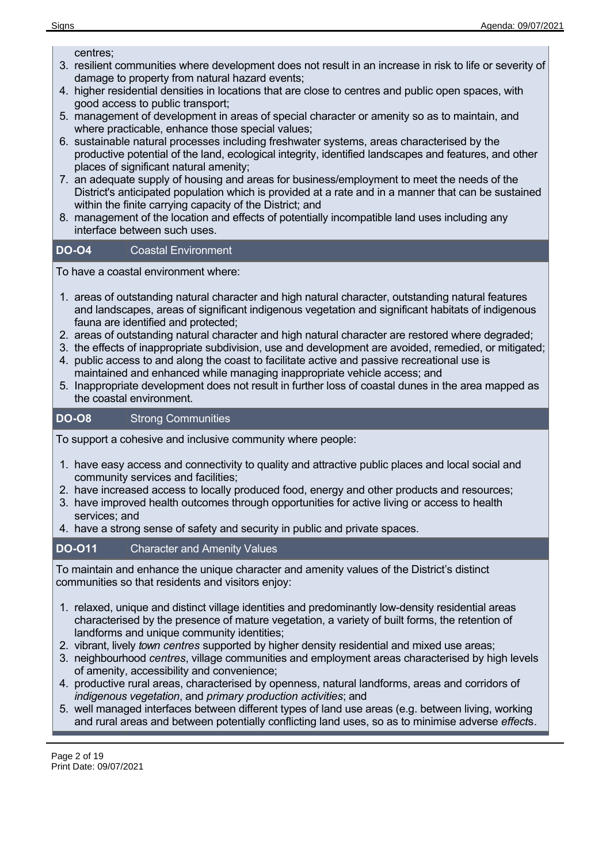centres;

- 3. resilient communities where development does not result in an increase in risk to life or severity of damage to property from natural hazard events;
- 4. higher residential densities in locations that are close to centres and public open spaces, with good access to public transport;
- 5. management of development in areas of special character or amenity so as to maintain, and where practicable, enhance those special values;
- 6. sustainable natural processes including freshwater systems, areas characterised by the productive potential of the land, ecological integrity, identified landscapes and features, and other places of significant natural amenity;
- 7. an adequate supply of housing and areas for business/employment to meet the needs of the District's anticipated population which is provided at a rate and in a manner that can be sustained within the finite carrying capacity of the District; and
- 8. management of the location and effects of potentially incompatible land uses including any interface between such uses.

#### **DO-O4** Coastal Environment

To have a coastal environment where:

- 1. areas of outstanding natural character and high natural character, outstanding natural features and landscapes, areas of significant indigenous vegetation and significant habitats of indigenous fauna are identified and protected;
- 2. areas of outstanding natural character and high natural character are restored where degraded;
- 3. the effects of inappropriate subdivision, use and development are avoided, remedied, or mitigated;
- 4. public access to and along the coast to facilitate active and passive recreational use is maintained and enhanced while managing inappropriate vehicle access; and
- 5. Inappropriate development does not result in further loss of coastal dunes in the area mapped as the coastal environment.

### **DO-O8** Strong Communities

To support a cohesive and inclusive community where people:

- 1. have easy access and connectivity to quality and attractive public places and local social and community services and facilities;
- 2. have increased access to locally produced food, energy and other products and resources;
- 3. have improved health outcomes through opportunities for active living or access to health services; and
- 4. have a strong sense of safety and security in public and private spaces.

### **DO-O11** Character and Amenity Values

To maintain and enhance the unique character and amenity values of the District's distinct communities so that residents and visitors enjoy:

- 1. relaxed, unique and distinct village identities and predominantly low-density residential areas characterised by the presence of mature vegetation, a variety of built forms, the retention of landforms and unique community identities;
- 2. vibrant, lively *town centres* supported by higher density residential and mixed use areas;
- 3. neighbourhood *centres*, village communities and employment areas characterised by high levels of amenity, accessibility and convenience;
- 4. productive rural areas, characterised by openness, natural landforms, areas and corridors of *indigenous vegetation*, and *primary production activities*; and
- 5. well managed interfaces between different types of land use areas (e.g. between living, working and rural areas and between potentially conflicting land uses, so as to minimise adverse *effect*s.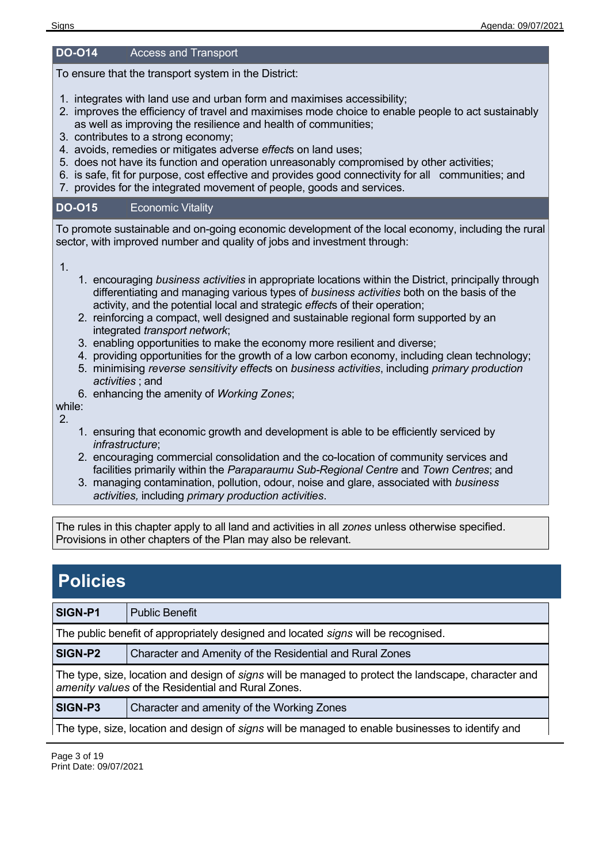#### **DO-O14** Access and Transport

To ensure that the transport system in the District:

- 1. integrates with land use and urban form and maximises accessibility;
- 2. improves the efficiency of travel and maximises mode choice to enable people to act sustainably as well as improving the resilience and health of communities;
- 3. contributes to a strong economy;
- 4. avoids, remedies or mitigates adverse *effect*s on land uses;
- 5. does not have its function and operation unreasonably compromised by other activities;
- 6. is safe, fit for purpose, cost effective and provides good connectivity for all communities; and
- 7. provides for the integrated movement of people, goods and services.

### **DO-O15** Economic Vitality

To promote sustainable and on-going economic development of the local economy, including the rural sector, with improved number and quality of jobs and investment through:

1.

- 1. encouraging *business activities* in appropriate locations within the District, principally through differentiating and managing various types of *business activities* both on the basis of the activity, and the potential local and strategic *effect*s of their operation;
- 2. reinforcing a compact, well designed and sustainable regional form supported by an integrated *transport network*;
- 3. enabling opportunities to make the economy more resilient and diverse;
- 4. providing opportunities for the growth of a low carbon economy, including clean technology;
- 5. minimising *reverse sensitivity effect*s on *business activities*, including *primary production activities* ; and
- 6. enhancing the amenity of *Working Zones*;

while: 2.

- 1. ensuring that economic growth and development is able to be efficiently serviced by *infrastructure*;
- 2. encouraging commercial consolidation and the co-location of community services and facilities primarily within the *Paraparaumu Sub-Regional Centre* and *Town Centres*; and
- 3. managing contamination, pollution, odour, noise and glare, associated with *business activities,* including *primary production activities*.

The rules in this chapter apply to all land and activities in all *zones* unless otherwise specified. Provisions in other chapters of the Plan may also be relevant.

### **Policies**

| SIGN-P1                                                                                                                                                    | <b>Public Benefit</b>                                    |  |  |
|------------------------------------------------------------------------------------------------------------------------------------------------------------|----------------------------------------------------------|--|--|
| The public benefit of appropriately designed and located signs will be recognised.                                                                         |                                                          |  |  |
| SIGN-P2                                                                                                                                                    | Character and Amenity of the Residential and Rural Zones |  |  |
| The type, size, location and design of signs will be managed to protect the landscape, character and<br>amenity values of the Residential and Rural Zones. |                                                          |  |  |
| SIGN-P3                                                                                                                                                    | Character and amenity of the Working Zones               |  |  |
| The type, size, location and design of signs will be managed to enable businesses to identify and                                                          |                                                          |  |  |

Page 3 of 19 Print Date: 09/07/2021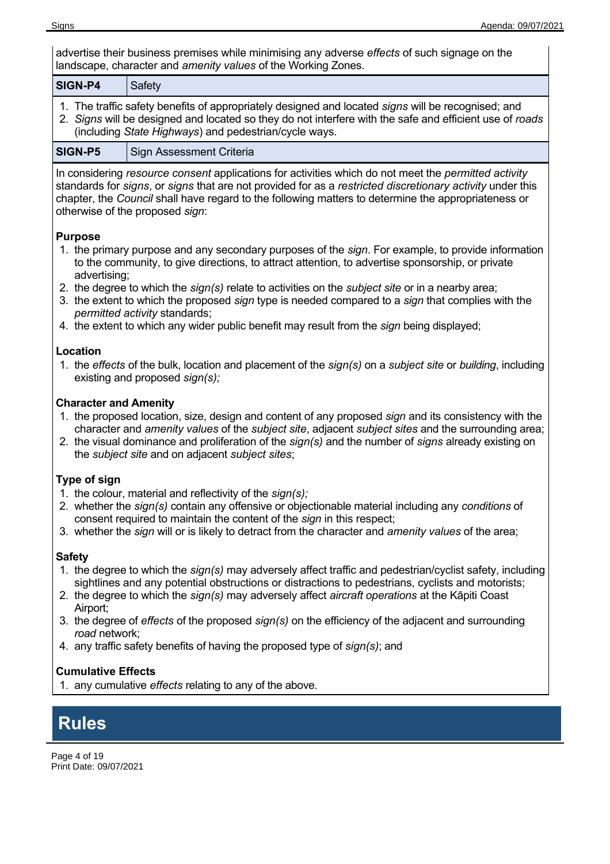advertise their business premises while minimising any adverse *effects* of such signage on the landscape, character and *amenity values* of the Working Zones.

| <b>SIGN-P4</b> | Safety                                                                                                                                                                                                                                                                 |
|----------------|------------------------------------------------------------------------------------------------------------------------------------------------------------------------------------------------------------------------------------------------------------------------|
|                | 1. The traffic safety benefits of appropriately designed and located signs will be recognised; and<br>2. Signs will be designed and located so they do not interfere with the safe and efficient use of roads<br>(including State Highways) and pedestrian/cycle ways. |

**SIGN-P5** Sign Assessment Criteria

In considering *resource consent* applications for activities which do not meet the *permitted activity* standards for *signs*, or *signs* that are not provided for as a *restricted discretionary activity* under this chapter, the *Council* shall have regard to the following matters to determine the appropriateness or otherwise of the proposed *sign*:

### **Purpose**

- 1. the primary purpose and any secondary purposes of the *sign*. For example, to provide information to the community, to give directions, to attract attention, to advertise sponsorship, or private advertising;
- 2. the degree to which the *sign(s)* relate to activities on the *subject site* or in a nearby area;
- 3. the extent to which the proposed *sign* type is needed compared to a *sign* that complies with the *permitted activity* standards;
- 4. the extent to which any wider public benefit may result from the *sign* being displayed;

### **Location**

1. the *effects* of the bulk, location and placement of the *sign(s)* on a *subject site* or *building*, including existing and proposed *sign(s);*

### **Character and Amenity**

- 1. the proposed location, size, design and content of any proposed *sign* and its consistency with the character and *amenity values* of the *subject site*, adjacent *subject sites* and the surrounding area;
- 2. the visual dominance and proliferation of the *sign(s)* and the number of *signs* already existing on the *subject site* and on adjacent *subject sites*;

### **Type of sign**

- 1. the colour, material and reflectivity of the *sign(s);*
- 2. whether the *sign(s)* contain any offensive or objectionable material including any *conditions* of consent required to maintain the content of the *sign* in this respect;
- 3. whether the *sign* will or is likely to detract from the character and *amenity values* of the area;

### **Safety**

- 1. the degree to which the *sign(s)* may adversely affect traffic and pedestrian/cyclist safety, including sightlines and any potential obstructions or distractions to pedestrians, cyclists and motorists;
- 2. the degree to which the *sign(s)* may adversely affect *aircraft operations* at the Kāpiti Coast Airport;
- 3. the degree of *effects* of the proposed *sign(s)* on the efficiency of the adjacent and surrounding *road* network;
- 4. any traffic safety benefits of having the proposed type of *sign(s)*; and

### **Cumulative Effects**

1. any cumulative *effects* relating to any of the above.

### **Rules**

Page 4 of 19 Print Date: 09/07/2021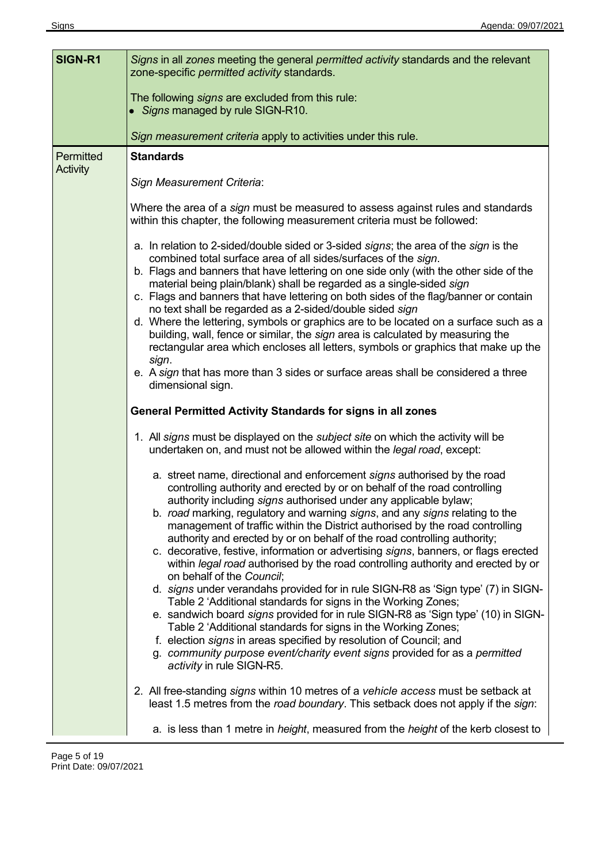| SIGN-R1               | Signs in all zones meeting the general permitted activity standards and the relevant<br>zone-specific permitted activity standards.                                                                                                                                                                                                                                                                                                                                                                                                                                                                                                                                                                                                                                                                                                                                                                                                                                                                               |  |  |  |
|-----------------------|-------------------------------------------------------------------------------------------------------------------------------------------------------------------------------------------------------------------------------------------------------------------------------------------------------------------------------------------------------------------------------------------------------------------------------------------------------------------------------------------------------------------------------------------------------------------------------------------------------------------------------------------------------------------------------------------------------------------------------------------------------------------------------------------------------------------------------------------------------------------------------------------------------------------------------------------------------------------------------------------------------------------|--|--|--|
|                       | The following signs are excluded from this rule:<br>• Signs managed by rule SIGN-R10.                                                                                                                                                                                                                                                                                                                                                                                                                                                                                                                                                                                                                                                                                                                                                                                                                                                                                                                             |  |  |  |
|                       | Sign measurement criteria apply to activities under this rule.                                                                                                                                                                                                                                                                                                                                                                                                                                                                                                                                                                                                                                                                                                                                                                                                                                                                                                                                                    |  |  |  |
| Permitted<br>Activity | <b>Standards</b><br>Sign Measurement Criteria:                                                                                                                                                                                                                                                                                                                                                                                                                                                                                                                                                                                                                                                                                                                                                                                                                                                                                                                                                                    |  |  |  |
|                       | Where the area of a sign must be measured to assess against rules and standards<br>within this chapter, the following measurement criteria must be followed:                                                                                                                                                                                                                                                                                                                                                                                                                                                                                                                                                                                                                                                                                                                                                                                                                                                      |  |  |  |
|                       | a. In relation to 2-sided/double sided or 3-sided signs; the area of the sign is the<br>combined total surface area of all sides/surfaces of the sign.<br>b. Flags and banners that have lettering on one side only (with the other side of the<br>material being plain/blank) shall be regarded as a single-sided sign<br>c. Flags and banners that have lettering on both sides of the flag/banner or contain<br>no text shall be regarded as a 2-sided/double sided sign<br>d. Where the lettering, symbols or graphics are to be located on a surface such as a<br>building, wall, fence or similar, the sign area is calculated by measuring the<br>rectangular area which encloses all letters, symbols or graphics that make up the<br>sign.<br>e. A sign that has more than 3 sides or surface areas shall be considered a three<br>dimensional sign.                                                                                                                                                     |  |  |  |
|                       | <b>General Permitted Activity Standards for signs in all zones</b>                                                                                                                                                                                                                                                                                                                                                                                                                                                                                                                                                                                                                                                                                                                                                                                                                                                                                                                                                |  |  |  |
|                       | 1. All signs must be displayed on the <i>subject site</i> on which the activity will be<br>undertaken on, and must not be allowed within the legal road, except:<br>a. street name, directional and enforcement signs authorised by the road<br>controlling authority and erected by or on behalf of the road controlling                                                                                                                                                                                                                                                                                                                                                                                                                                                                                                                                                                                                                                                                                         |  |  |  |
|                       | authority including signs authorised under any applicable bylaw;<br>b. road marking, regulatory and warning signs, and any signs relating to the<br>management of traffic within the District authorised by the road controlling<br>authority and erected by or on behalf of the road controlling authority;<br>c. decorative, festive, information or advertising signs, banners, or flags erected<br>within legal road authorised by the road controlling authority and erected by or<br>on behalf of the Council;<br>d. signs under verandahs provided for in rule SIGN-R8 as 'Sign type' (7) in SIGN-<br>Table 2 'Additional standards for signs in the Working Zones;<br>e. sandwich board signs provided for in rule SIGN-R8 as 'Sign type' (10) in SIGN-<br>Table 2 'Additional standards for signs in the Working Zones;<br>f. election signs in areas specified by resolution of Council; and<br>g. community purpose event/charity event signs provided for as a permitted<br>activity in rule SIGN-R5. |  |  |  |
|                       | 2. All free-standing signs within 10 metres of a vehicle access must be setback at<br>least 1.5 metres from the road boundary. This setback does not apply if the sign:                                                                                                                                                                                                                                                                                                                                                                                                                                                                                                                                                                                                                                                                                                                                                                                                                                           |  |  |  |
|                       | a. is less than 1 metre in <i>height</i> , measured from the <i>height</i> of the kerb closest to                                                                                                                                                                                                                                                                                                                                                                                                                                                                                                                                                                                                                                                                                                                                                                                                                                                                                                                 |  |  |  |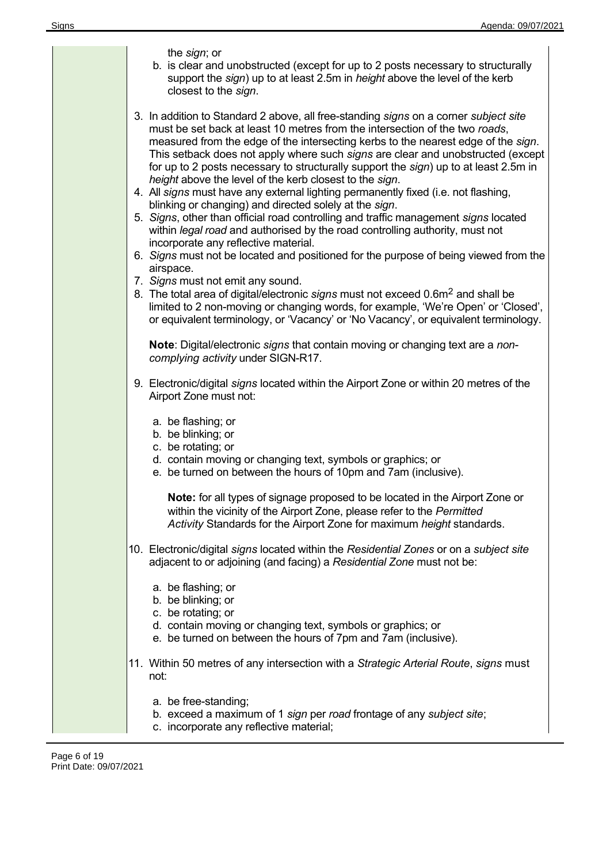| the sign; or<br>b. is clear and unobstructed (except for up to 2 posts necessary to structurally<br>support the sign) up to at least 2.5m in height above the level of the kerb<br>closest to the sign.                                                                                                                                                                                                                                                                                                                                                                                                                                                                                                                                                                                                                                                                                                                                                                                                                                                                                                                                                                                                                                                                             |
|-------------------------------------------------------------------------------------------------------------------------------------------------------------------------------------------------------------------------------------------------------------------------------------------------------------------------------------------------------------------------------------------------------------------------------------------------------------------------------------------------------------------------------------------------------------------------------------------------------------------------------------------------------------------------------------------------------------------------------------------------------------------------------------------------------------------------------------------------------------------------------------------------------------------------------------------------------------------------------------------------------------------------------------------------------------------------------------------------------------------------------------------------------------------------------------------------------------------------------------------------------------------------------------|
| 3. In addition to Standard 2 above, all free-standing signs on a corner subject site<br>must be set back at least 10 metres from the intersection of the two roads,<br>measured from the edge of the intersecting kerbs to the nearest edge of the sign.<br>This setback does not apply where such signs are clear and unobstructed (except<br>for up to 2 posts necessary to structurally support the sign) up to at least 2.5m in<br>height above the level of the kerb closest to the sign.<br>4. All signs must have any external lighting permanently fixed (i.e. not flashing,<br>blinking or changing) and directed solely at the sign.<br>5. Signs, other than official road controlling and traffic management signs located<br>within legal road and authorised by the road controlling authority, must not<br>incorporate any reflective material.<br>6. Signs must not be located and positioned for the purpose of being viewed from the<br>airspace.<br>7. Signs must not emit any sound.<br>8. The total area of digital/electronic signs must not exceed 0.6m <sup>2</sup> and shall be<br>limited to 2 non-moving or changing words, for example, 'We're Open' or 'Closed',<br>or equivalent terminology, or 'Vacancy' or 'No Vacancy', or equivalent terminology. |
| Note: Digital/electronic signs that contain moving or changing text are a non-<br>complying activity under SIGN-R17.                                                                                                                                                                                                                                                                                                                                                                                                                                                                                                                                                                                                                                                                                                                                                                                                                                                                                                                                                                                                                                                                                                                                                                |
| 9. Electronic/digital signs located within the Airport Zone or within 20 metres of the<br>Airport Zone must not:                                                                                                                                                                                                                                                                                                                                                                                                                                                                                                                                                                                                                                                                                                                                                                                                                                                                                                                                                                                                                                                                                                                                                                    |
| a. be flashing; or<br>b. be blinking; or<br>c. be rotating; or<br>d. contain moving or changing text, symbols or graphics; or<br>e. be turned on between the hours of 10pm and 7am (inclusive).                                                                                                                                                                                                                                                                                                                                                                                                                                                                                                                                                                                                                                                                                                                                                                                                                                                                                                                                                                                                                                                                                     |
| Note: for all types of signage proposed to be located in the Airport Zone or<br>within the vicinity of the Airport Zone, please refer to the Permitted<br>Activity Standards for the Airport Zone for maximum height standards.                                                                                                                                                                                                                                                                                                                                                                                                                                                                                                                                                                                                                                                                                                                                                                                                                                                                                                                                                                                                                                                     |
| 10. Electronic/digital signs located within the Residential Zones or on a subject site<br>adjacent to or adjoining (and facing) a Residential Zone must not be:                                                                                                                                                                                                                                                                                                                                                                                                                                                                                                                                                                                                                                                                                                                                                                                                                                                                                                                                                                                                                                                                                                                     |
| a. be flashing; or<br>b. be blinking; or<br>c. be rotating; or<br>d. contain moving or changing text, symbols or graphics; or<br>e. be turned on between the hours of 7pm and 7am (inclusive).                                                                                                                                                                                                                                                                                                                                                                                                                                                                                                                                                                                                                                                                                                                                                                                                                                                                                                                                                                                                                                                                                      |
| 11. Within 50 metres of any intersection with a Strategic Arterial Route, signs must<br>not:                                                                                                                                                                                                                                                                                                                                                                                                                                                                                                                                                                                                                                                                                                                                                                                                                                                                                                                                                                                                                                                                                                                                                                                        |
| a. be free-standing;<br>b. exceed a maximum of 1 sign per road frontage of any subject site;<br>c. incorporate any reflective material;                                                                                                                                                                                                                                                                                                                                                                                                                                                                                                                                                                                                                                                                                                                                                                                                                                                                                                                                                                                                                                                                                                                                             |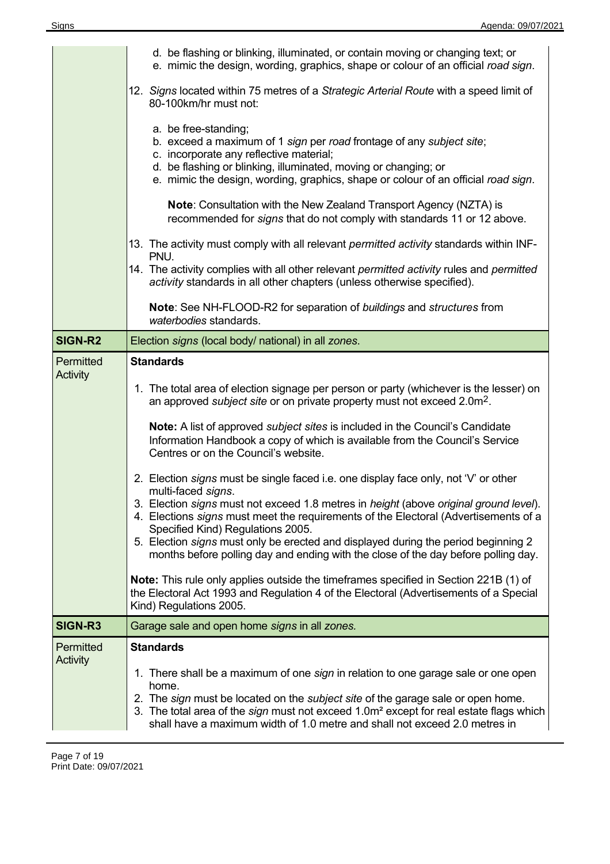|                       | d. be flashing or blinking, illuminated, or contain moving or changing text; or<br>e. mimic the design, wording, graphics, shape or colour of an official road sign.                                                                                                                                                                                                                                                                                                                                       |  |  |  |  |
|-----------------------|------------------------------------------------------------------------------------------------------------------------------------------------------------------------------------------------------------------------------------------------------------------------------------------------------------------------------------------------------------------------------------------------------------------------------------------------------------------------------------------------------------|--|--|--|--|
|                       | 12. Signs located within 75 metres of a Strategic Arterial Route with a speed limit of<br>80-100km/hr must not:<br>a. be free-standing;<br>b. exceed a maximum of 1 sign per road frontage of any subject site;<br>c. incorporate any reflective material;<br>d. be flashing or blinking, illuminated, moving or changing; or<br>e. mimic the design, wording, graphics, shape or colour of an official road sign.                                                                                         |  |  |  |  |
|                       |                                                                                                                                                                                                                                                                                                                                                                                                                                                                                                            |  |  |  |  |
|                       | Note: Consultation with the New Zealand Transport Agency (NZTA) is<br>recommended for signs that do not comply with standards 11 or 12 above.                                                                                                                                                                                                                                                                                                                                                              |  |  |  |  |
|                       | 13. The activity must comply with all relevant <i>permitted activity</i> standards within INF-<br>PNU.                                                                                                                                                                                                                                                                                                                                                                                                     |  |  |  |  |
|                       | 14. The activity complies with all other relevant permitted activity rules and permitted<br>activity standards in all other chapters (unless otherwise specified).                                                                                                                                                                                                                                                                                                                                         |  |  |  |  |
|                       | Note: See NH-FLOOD-R2 for separation of buildings and structures from<br>waterbodies standards.                                                                                                                                                                                                                                                                                                                                                                                                            |  |  |  |  |
| SIGN-R2               | Election signs (local body/ national) in all zones.                                                                                                                                                                                                                                                                                                                                                                                                                                                        |  |  |  |  |
| Permitted<br>Activity | <b>Standards</b>                                                                                                                                                                                                                                                                                                                                                                                                                                                                                           |  |  |  |  |
|                       | 1. The total area of election signage per person or party (whichever is the lesser) on<br>an approved <i>subject site</i> or on private property must not exceed 2.0m <sup>2</sup> .                                                                                                                                                                                                                                                                                                                       |  |  |  |  |
|                       | Note: A list of approved <i>subject sites</i> is included in the Council's Candidate<br>Information Handbook a copy of which is available from the Council's Service<br>Centres or on the Council's website.                                                                                                                                                                                                                                                                                               |  |  |  |  |
|                       | 2. Election signs must be single faced i.e. one display face only, not 'V' or other<br>multi-faced signs.<br>3. Election signs must not exceed 1.8 metres in height (above original ground level).<br>4. Elections signs must meet the requirements of the Electoral (Advertisements of a<br>Specified Kind) Regulations 2005.<br>5. Election signs must only be erected and displayed during the period beginning 2<br>months before polling day and ending with the close of the day before polling day. |  |  |  |  |
|                       | Note: This rule only applies outside the timeframes specified in Section 221B (1) of<br>the Electoral Act 1993 and Regulation 4 of the Electoral (Advertisements of a Special<br>Kind) Regulations 2005.                                                                                                                                                                                                                                                                                                   |  |  |  |  |
| SIGN-R3               | Garage sale and open home signs in all zones.                                                                                                                                                                                                                                                                                                                                                                                                                                                              |  |  |  |  |
| Permitted<br>Activity | <b>Standards</b>                                                                                                                                                                                                                                                                                                                                                                                                                                                                                           |  |  |  |  |
|                       | 1. There shall be a maximum of one sign in relation to one garage sale or one open<br>home.<br>2. The sign must be located on the subject site of the garage sale or open home.<br>3. The total area of the sign must not exceed 1.0m <sup>2</sup> except for real estate flags which<br>shall have a maximum width of 1.0 metre and shall not exceed 2.0 metres in                                                                                                                                        |  |  |  |  |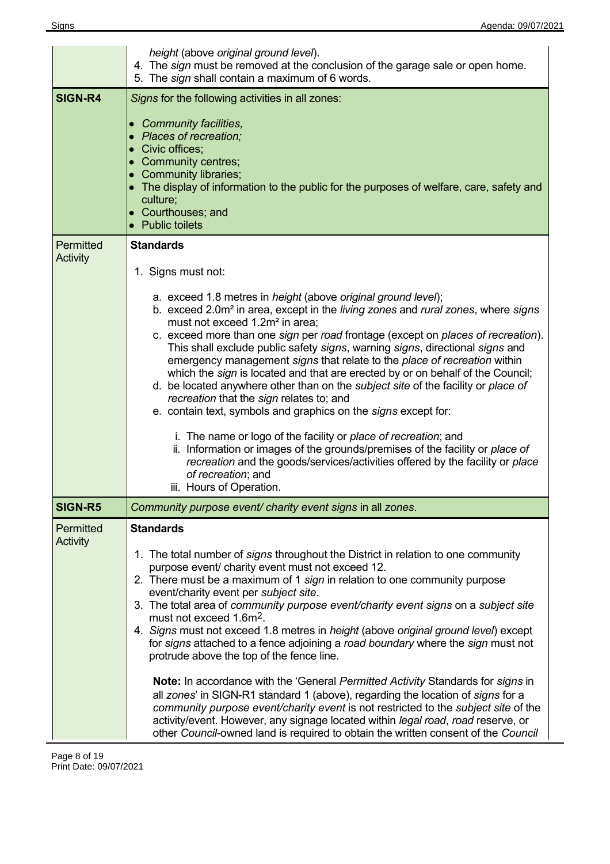|                              | height (above original ground level).<br>4. The sign must be removed at the conclusion of the garage sale or open home.<br>5. The sign shall contain a maximum of 6 words.                                                                                                                                                                                                                                                                                                                                                                                                                                                                                                                                                                                                                                                                                                                                                                                                                                                                                                     |  |  |  |
|------------------------------|--------------------------------------------------------------------------------------------------------------------------------------------------------------------------------------------------------------------------------------------------------------------------------------------------------------------------------------------------------------------------------------------------------------------------------------------------------------------------------------------------------------------------------------------------------------------------------------------------------------------------------------------------------------------------------------------------------------------------------------------------------------------------------------------------------------------------------------------------------------------------------------------------------------------------------------------------------------------------------------------------------------------------------------------------------------------------------|--|--|--|
| <b>SIGN-R4</b>               | Signs for the following activities in all zones:<br>• Community facilities,<br>• Places of recreation;<br>• Civic offices;<br>• Community centres;<br>• Community libraries;<br>• The display of information to the public for the purposes of welfare, care, safety and<br>culture;<br>• Courthouses; and<br>• Public toilets                                                                                                                                                                                                                                                                                                                                                                                                                                                                                                                                                                                                                                                                                                                                                 |  |  |  |
| Permitted<br>Activity        | <b>Standards</b>                                                                                                                                                                                                                                                                                                                                                                                                                                                                                                                                                                                                                                                                                                                                                                                                                                                                                                                                                                                                                                                               |  |  |  |
|                              | 1. Signs must not:<br>a. exceed 1.8 metres in height (above original ground level);<br>b. exceed 2.0m <sup>2</sup> in area, except in the living zones and rural zones, where signs<br>must not exceed 1.2m <sup>2</sup> in area;<br>c. exceed more than one sign per road frontage (except on places of recreation).<br>This shall exclude public safety signs, warning signs, directional signs and<br>emergency management signs that relate to the place of recreation within<br>which the sign is located and that are erected by or on behalf of the Council;<br>d. be located anywhere other than on the subject site of the facility or place of<br>recreation that the sign relates to; and<br>e. contain text, symbols and graphics on the signs except for:<br>i. The name or logo of the facility or place of recreation; and<br>ii. Information or images of the grounds/premises of the facility or place of<br>recreation and the goods/services/activities offered by the facility or place<br>of recreation; and                                              |  |  |  |
| <b>SIGN-R5</b>               | iii. Hours of Operation.<br>Community purpose event/ charity event signs in all zones.                                                                                                                                                                                                                                                                                                                                                                                                                                                                                                                                                                                                                                                                                                                                                                                                                                                                                                                                                                                         |  |  |  |
| Permitted<br><b>Activity</b> | <b>Standards</b><br>1. The total number of signs throughout the District in relation to one community<br>purpose event/ charity event must not exceed 12.<br>2. There must be a maximum of 1 sign in relation to one community purpose<br>event/charity event per subject site.<br>3. The total area of community purpose event/charity event signs on a subject site<br>must not exceed 1.6m <sup>2</sup> .<br>4. Signs must not exceed 1.8 metres in height (above original ground level) except<br>for signs attached to a fence adjoining a road boundary where the sign must not<br>protrude above the top of the fence line.<br><b>Note:</b> In accordance with the 'General Permitted Activity Standards for signs in<br>all zones' in SIGN-R1 standard 1 (above), regarding the location of signs for a<br>community purpose event/charity event is not restricted to the subject site of the<br>activity/event. However, any signage located within legal road, road reserve, or<br>other Council-owned land is required to obtain the written consent of the Council |  |  |  |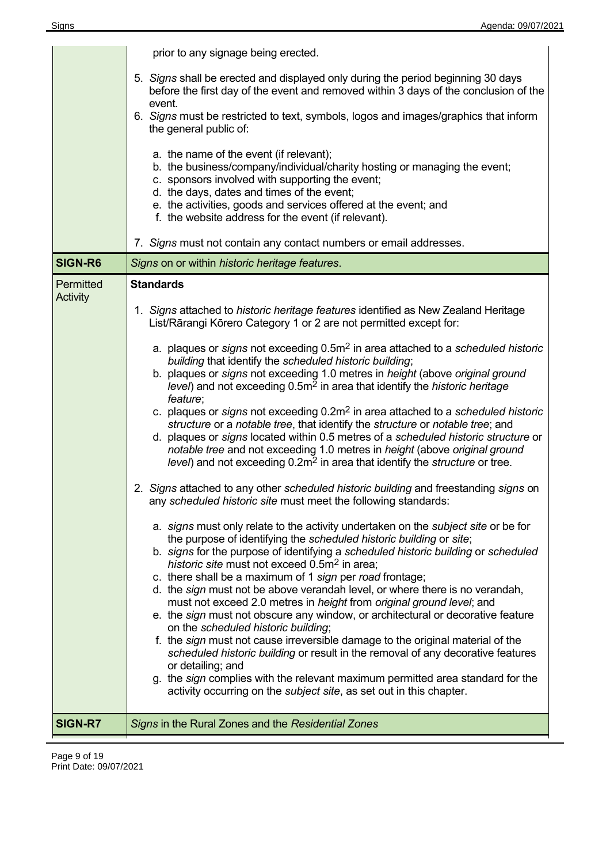|                       | prior to any signage being erected.                                                                                                                                                                                                                                                                                                                                                                                                                                                                                                                                                                                                                                                                                                                                                                                                                                                                                                                                                                                                                                                                                                                                                                                                                                                                                                                                                                                                                                                                                                                                                                                                                                                                                                                                                                                                                                                                                                                           |  |  |  |  |
|-----------------------|---------------------------------------------------------------------------------------------------------------------------------------------------------------------------------------------------------------------------------------------------------------------------------------------------------------------------------------------------------------------------------------------------------------------------------------------------------------------------------------------------------------------------------------------------------------------------------------------------------------------------------------------------------------------------------------------------------------------------------------------------------------------------------------------------------------------------------------------------------------------------------------------------------------------------------------------------------------------------------------------------------------------------------------------------------------------------------------------------------------------------------------------------------------------------------------------------------------------------------------------------------------------------------------------------------------------------------------------------------------------------------------------------------------------------------------------------------------------------------------------------------------------------------------------------------------------------------------------------------------------------------------------------------------------------------------------------------------------------------------------------------------------------------------------------------------------------------------------------------------------------------------------------------------------------------------------------------------|--|--|--|--|
|                       | 5. Signs shall be erected and displayed only during the period beginning 30 days<br>before the first day of the event and removed within 3 days of the conclusion of the<br>event.                                                                                                                                                                                                                                                                                                                                                                                                                                                                                                                                                                                                                                                                                                                                                                                                                                                                                                                                                                                                                                                                                                                                                                                                                                                                                                                                                                                                                                                                                                                                                                                                                                                                                                                                                                            |  |  |  |  |
|                       | 6. Signs must be restricted to text, symbols, logos and images/graphics that inform<br>the general public of:                                                                                                                                                                                                                                                                                                                                                                                                                                                                                                                                                                                                                                                                                                                                                                                                                                                                                                                                                                                                                                                                                                                                                                                                                                                                                                                                                                                                                                                                                                                                                                                                                                                                                                                                                                                                                                                 |  |  |  |  |
|                       | a. the name of the event (if relevant);<br>b. the business/company/individual/charity hosting or managing the event;<br>c. sponsors involved with supporting the event;<br>d. the days, dates and times of the event;<br>e. the activities, goods and services offered at the event; and<br>f. the website address for the event (if relevant).                                                                                                                                                                                                                                                                                                                                                                                                                                                                                                                                                                                                                                                                                                                                                                                                                                                                                                                                                                                                                                                                                                                                                                                                                                                                                                                                                                                                                                                                                                                                                                                                               |  |  |  |  |
|                       | 7. Signs must not contain any contact numbers or email addresses.                                                                                                                                                                                                                                                                                                                                                                                                                                                                                                                                                                                                                                                                                                                                                                                                                                                                                                                                                                                                                                                                                                                                                                                                                                                                                                                                                                                                                                                                                                                                                                                                                                                                                                                                                                                                                                                                                             |  |  |  |  |
| <b>SIGN-R6</b>        | Signs on or within historic heritage features.                                                                                                                                                                                                                                                                                                                                                                                                                                                                                                                                                                                                                                                                                                                                                                                                                                                                                                                                                                                                                                                                                                                                                                                                                                                                                                                                                                                                                                                                                                                                                                                                                                                                                                                                                                                                                                                                                                                |  |  |  |  |
| Permitted<br>Activity | <b>Standards</b><br>1. Signs attached to historic heritage features identified as New Zealand Heritage<br>List/Rārangi Kōrero Category 1 or 2 are not permitted except for:<br>a. plaques or signs not exceeding $0.5m2$ in area attached to a scheduled historic<br>building that identify the scheduled historic building;<br>b. plaques or signs not exceeding 1.0 metres in height (above original ground<br>level) and not exceeding 0.5m <sup>2</sup> in area that identify the historic heritage<br>feature;<br>c. plaques or signs not exceeding $0.2m^2$ in area attached to a scheduled historic<br>structure or a notable tree, that identify the structure or notable tree; and<br>d. plaques or signs located within 0.5 metres of a scheduled historic structure or<br>notable tree and not exceeding 1.0 metres in height (above original ground<br>level) and not exceeding 0.2m <sup>2</sup> in area that identify the <i>structure</i> or tree.<br>2. Signs attached to any other scheduled historic building and freestanding signs on<br>any scheduled historic site must meet the following standards:<br>a. signs must only relate to the activity undertaken on the subject site or be for<br>the purpose of identifying the scheduled historic building or site;<br>b. signs for the purpose of identifying a scheduled historic building or scheduled<br>historic site must not exceed 0.5m <sup>2</sup> in area;<br>c. there shall be a maximum of 1 sign per road frontage;<br>d. the sign must not be above verandah level, or where there is no verandah,<br>must not exceed 2.0 metres in height from original ground level; and<br>e. the sign must not obscure any window, or architectural or decorative feature<br>on the scheduled historic building;<br>f. the sign must not cause irreversible damage to the original material of the<br>scheduled historic building or result in the removal of any decorative features |  |  |  |  |
|                       | or detailing; and<br>g. the sign complies with the relevant maximum permitted area standard for the<br>activity occurring on the <i>subject site</i> , as set out in this chapter.                                                                                                                                                                                                                                                                                                                                                                                                                                                                                                                                                                                                                                                                                                                                                                                                                                                                                                                                                                                                                                                                                                                                                                                                                                                                                                                                                                                                                                                                                                                                                                                                                                                                                                                                                                            |  |  |  |  |
| <b>SIGN-R7</b>        | Signs in the Rural Zones and the Residential Zones                                                                                                                                                                                                                                                                                                                                                                                                                                                                                                                                                                                                                                                                                                                                                                                                                                                                                                                                                                                                                                                                                                                                                                                                                                                                                                                                                                                                                                                                                                                                                                                                                                                                                                                                                                                                                                                                                                            |  |  |  |  |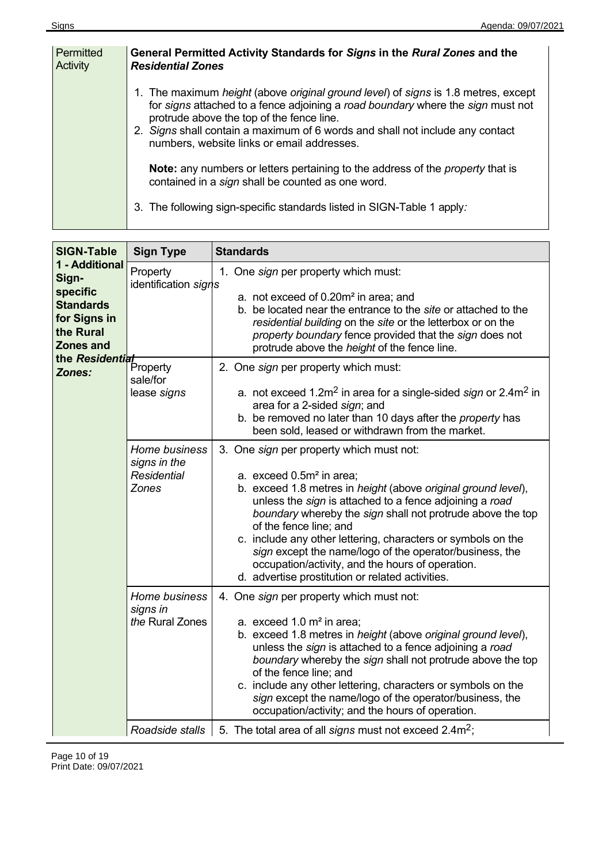| Permitted<br>Activity | General Permitted Activity Standards for Signs in the Rural Zones and the<br><b>Residential Zones</b>                                                                                                                                                                                                                                                                   |
|-----------------------|-------------------------------------------------------------------------------------------------------------------------------------------------------------------------------------------------------------------------------------------------------------------------------------------------------------------------------------------------------------------------|
|                       | 1. The maximum <i>height</i> (above <i>original ground level</i> ) of <i>signs</i> is 1.8 metres, except<br>for signs attached to a fence adjoining a road boundary where the sign must not<br>protrude above the top of the fence line.<br>2. Signs shall contain a maximum of 6 words and shall not include any contact<br>numbers, website links or email addresses. |
|                       | <b>Note:</b> any numbers or letters pertaining to the address of the <i>property</i> that is<br>contained in a sign shall be counted as one word.                                                                                                                                                                                                                       |
|                       | 3. The following sign-specific standards listed in SIGN-Table 1 apply:                                                                                                                                                                                                                                                                                                  |

| <b>SIGN-Table</b>                                                                                                                                 | <b>Sign Type</b>                                             | <b>Standards</b>                                                                                                                                                                                                                                                                                                                                                                                                                                                                                                                        |
|---------------------------------------------------------------------------------------------------------------------------------------------------|--------------------------------------------------------------|-----------------------------------------------------------------------------------------------------------------------------------------------------------------------------------------------------------------------------------------------------------------------------------------------------------------------------------------------------------------------------------------------------------------------------------------------------------------------------------------------------------------------------------------|
| 1 - Additional<br>Sign-<br>specific<br><b>Standards</b><br>for Signs in<br>the Rural<br><b>Zones and</b><br>the Residential<br>Property<br>Zones: | Property<br>identification signs                             | 1. One sign per property which must:<br>a. not exceed of 0.20m <sup>2</sup> in area; and<br>b. be located near the entrance to the site or attached to the<br>residential building on the site or the letterbox or on the<br>property boundary fence provided that the sign does not<br>protrude above the height of the fence line.                                                                                                                                                                                                    |
|                                                                                                                                                   | sale/for<br>lease signs                                      | 2. One sign per property which must:<br>a. not exceed 1.2m <sup>2</sup> in area for a single-sided sign or 2.4m <sup>2</sup> in<br>area for a 2-sided sign; and<br>b. be removed no later than 10 days after the property has<br>been sold, leased or withdrawn from the market.                                                                                                                                                                                                                                                        |
|                                                                                                                                                   | Home business<br>signs in the<br><b>Residential</b><br>Zones | 3. One sign per property which must not:<br>a. exceed 0.5m <sup>2</sup> in area;<br>b. exceed 1.8 metres in height (above original ground level),<br>unless the sign is attached to a fence adjoining a road<br>boundary whereby the sign shall not protrude above the top<br>of the fence line; and<br>c. include any other lettering, characters or symbols on the<br>sign except the name/logo of the operator/business, the<br>occupation/activity, and the hours of operation.<br>d. advertise prostitution or related activities. |
|                                                                                                                                                   | Home business<br>signs in<br>the Rural Zones                 | 4. One sign per property which must not:<br>a. exceed $1.0 \text{ m}^2$ in area;<br>b. exceed 1.8 metres in height (above original ground level),<br>unless the sign is attached to a fence adjoining a road<br>boundary whereby the sign shall not protrude above the top<br>of the fence line; and<br>c. include any other lettering, characters or symbols on the<br>sign except the name/logo of the operator/business, the<br>occupation/activity; and the hours of operation.                                                     |
|                                                                                                                                                   | Roadside stalls                                              | 5. The total area of all signs must not exceed $2.4 \text{m}^2$ ;                                                                                                                                                                                                                                                                                                                                                                                                                                                                       |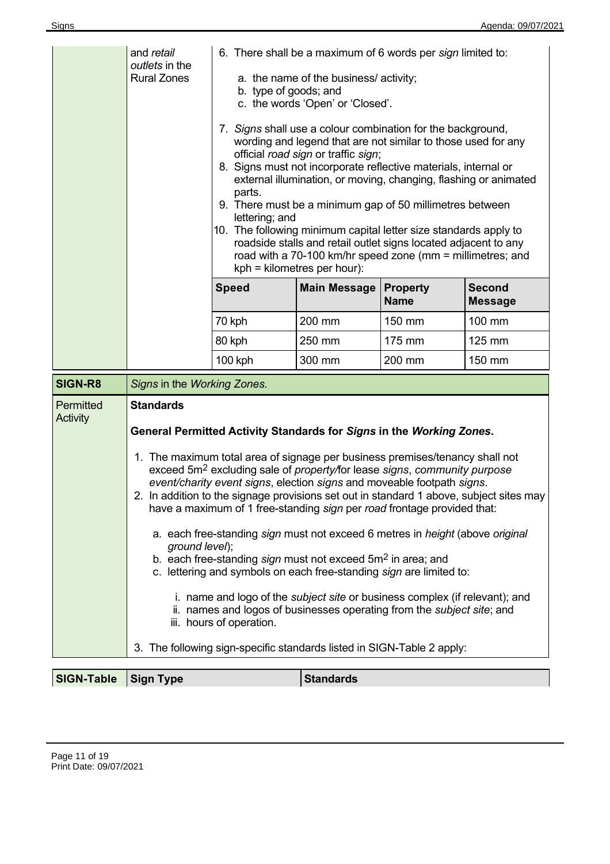|                       | and retail<br>outlets in the<br><b>Rural Zones</b>                                                                                                                                                                                                                                                                                                                                                                                                                                                                                                                                                                                                                                                                                                                                                                                                                                                                                                                                                                                                                                        | 6. There shall be a maximum of 6 words per sign limited to:<br>a. the name of the business/activity;<br>b. type of goods; and<br>c. the words 'Open' or 'Closed'.<br>7. Signs shall use a colour combination for the background,<br>wording and legend that are not similar to those used for any<br>official road sign or traffic sign;<br>8. Signs must not incorporate reflective materials, internal or<br>external illumination, or moving, changing, flashing or animated<br>parts.<br>9. There must be a minimum gap of 50 millimetres between<br>lettering; and<br>10. The following minimum capital letter size standards apply to<br>roadside stalls and retail outlet signs located adjacent to any<br>road with a 70-100 km/hr speed zone (mm = millimetres; and<br>$kph =$ kilometres per hour): |                     |                                |                                 |
|-----------------------|-------------------------------------------------------------------------------------------------------------------------------------------------------------------------------------------------------------------------------------------------------------------------------------------------------------------------------------------------------------------------------------------------------------------------------------------------------------------------------------------------------------------------------------------------------------------------------------------------------------------------------------------------------------------------------------------------------------------------------------------------------------------------------------------------------------------------------------------------------------------------------------------------------------------------------------------------------------------------------------------------------------------------------------------------------------------------------------------|---------------------------------------------------------------------------------------------------------------------------------------------------------------------------------------------------------------------------------------------------------------------------------------------------------------------------------------------------------------------------------------------------------------------------------------------------------------------------------------------------------------------------------------------------------------------------------------------------------------------------------------------------------------------------------------------------------------------------------------------------------------------------------------------------------------|---------------------|--------------------------------|---------------------------------|
|                       |                                                                                                                                                                                                                                                                                                                                                                                                                                                                                                                                                                                                                                                                                                                                                                                                                                                                                                                                                                                                                                                                                           | <b>Speed</b>                                                                                                                                                                                                                                                                                                                                                                                                                                                                                                                                                                                                                                                                                                                                                                                                  | <b>Main Message</b> | <b>Property</b><br><b>Name</b> | <b>Second</b><br><b>Message</b> |
|                       |                                                                                                                                                                                                                                                                                                                                                                                                                                                                                                                                                                                                                                                                                                                                                                                                                                                                                                                                                                                                                                                                                           | 70 kph                                                                                                                                                                                                                                                                                                                                                                                                                                                                                                                                                                                                                                                                                                                                                                                                        | 200 mm              | 150 mm                         | 100 mm                          |
|                       |                                                                                                                                                                                                                                                                                                                                                                                                                                                                                                                                                                                                                                                                                                                                                                                                                                                                                                                                                                                                                                                                                           | 80 kph                                                                                                                                                                                                                                                                                                                                                                                                                                                                                                                                                                                                                                                                                                                                                                                                        | 250 mm              | 175 mm                         | 125 mm                          |
|                       |                                                                                                                                                                                                                                                                                                                                                                                                                                                                                                                                                                                                                                                                                                                                                                                                                                                                                                                                                                                                                                                                                           | 100 kph                                                                                                                                                                                                                                                                                                                                                                                                                                                                                                                                                                                                                                                                                                                                                                                                       | 300 mm              | 200 mm                         | 150 mm                          |
| SIGN-R8               |                                                                                                                                                                                                                                                                                                                                                                                                                                                                                                                                                                                                                                                                                                                                                                                                                                                                                                                                                                                                                                                                                           |                                                                                                                                                                                                                                                                                                                                                                                                                                                                                                                                                                                                                                                                                                                                                                                                               |                     |                                |                                 |
| Permitted<br>Activity | Signs in the Working Zones.<br><b>Standards</b><br>General Permitted Activity Standards for Signs in the Working Zones.<br>1. The maximum total area of signage per business premises/tenancy shall not<br>exceed 5m <sup>2</sup> excluding sale of property/for lease signs, community purpose<br>event/charity event signs, election signs and moveable footpath signs.<br>2. In addition to the signage provisions set out in standard 1 above, subject sites may<br>have a maximum of 1 free-standing sign per road frontage provided that:<br>a. each free-standing sign must not exceed 6 metres in <i>height</i> (above original<br>ground level);<br>b. each free-standing sign must not exceed 5m <sup>2</sup> in area; and<br>c. lettering and symbols on each free-standing sign are limited to:<br>i. name and logo of the <i>subject site</i> or business complex (if relevant); and<br>ii. names and logos of businesses operating from the <i>subject site</i> ; and<br>iii. hours of operation.<br>3. The following sign-specific standards listed in SIGN-Table 2 apply: |                                                                                                                                                                                                                                                                                                                                                                                                                                                                                                                                                                                                                                                                                                                                                                                                               |                     |                                |                                 |
| <b>SIGN-Table</b>     | <b>Standards</b><br><b>Sign Type</b>                                                                                                                                                                                                                                                                                                                                                                                                                                                                                                                                                                                                                                                                                                                                                                                                                                                                                                                                                                                                                                                      |                                                                                                                                                                                                                                                                                                                                                                                                                                                                                                                                                                                                                                                                                                                                                                                                               |                     |                                |                                 |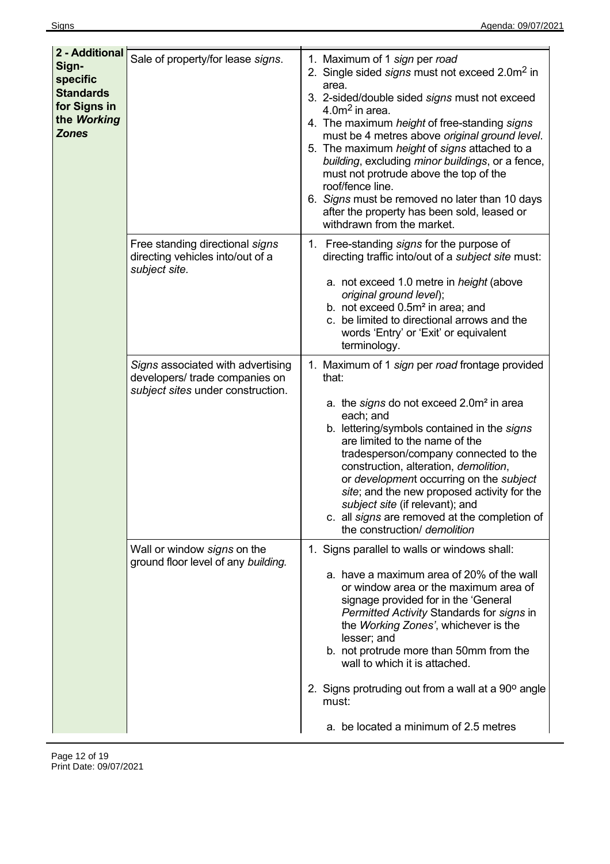| 2 - Additional<br>Sign-<br>specific<br><b>Standards</b><br>for Signs in<br>the Working<br><b>Zones</b> | Sale of property/for lease signs.                                                                        | 1. Maximum of 1 sign per road<br>2. Single sided signs must not exceed 2.0m <sup>2</sup> in<br>area.<br>3. 2-sided/double sided signs must not exceed<br>4.0 $m2$ in area.<br>4. The maximum height of free-standing signs<br>must be 4 metres above original ground level.<br>5. The maximum height of signs attached to a<br>building, excluding minor buildings, or a fence,<br>must not protrude above the top of the<br>roof/fence line.<br>6. Signs must be removed no later than 10 days<br>after the property has been sold, leased or<br>withdrawn from the market. |
|--------------------------------------------------------------------------------------------------------|----------------------------------------------------------------------------------------------------------|------------------------------------------------------------------------------------------------------------------------------------------------------------------------------------------------------------------------------------------------------------------------------------------------------------------------------------------------------------------------------------------------------------------------------------------------------------------------------------------------------------------------------------------------------------------------------|
|                                                                                                        | Free standing directional signs<br>directing vehicles into/out of a<br>subject site.                     | 1. Free-standing signs for the purpose of<br>directing traffic into/out of a subject site must:<br>a. not exceed 1.0 metre in <i>height</i> (above<br>original ground level);<br>b. not exceed 0.5m <sup>2</sup> in area; and<br>c. be limited to directional arrows and the<br>words 'Entry' or 'Exit' or equivalent<br>terminology.                                                                                                                                                                                                                                        |
|                                                                                                        | Signs associated with advertising<br>developers/ trade companies on<br>subject sites under construction. | 1. Maximum of 1 sign per road frontage provided<br>that:<br>a. the signs do not exceed 2.0m <sup>2</sup> in area<br>each; and<br>b. lettering/symbols contained in the signs<br>are limited to the name of the<br>tradesperson/company connected to the<br>construction, alteration, demolition,<br>or development occurring on the subject<br>site; and the new proposed activity for the<br>subject site (if relevant); and<br>c. all signs are removed at the completion of<br>the construction/ demolition                                                               |
|                                                                                                        | Wall or window signs on the<br>ground floor level of any building.                                       | 1. Signs parallel to walls or windows shall:<br>a. have a maximum area of 20% of the wall<br>or window area or the maximum area of<br>signage provided for in the 'General<br>Permitted Activity Standards for signs in<br>the Working Zones', whichever is the<br>lesser; and<br>b. not protrude more than 50mm from the<br>wall to which it is attached.<br>2. Signs protruding out from a wall at a 90° angle                                                                                                                                                             |
|                                                                                                        |                                                                                                          | must:<br>a. be located a minimum of 2.5 metres                                                                                                                                                                                                                                                                                                                                                                                                                                                                                                                               |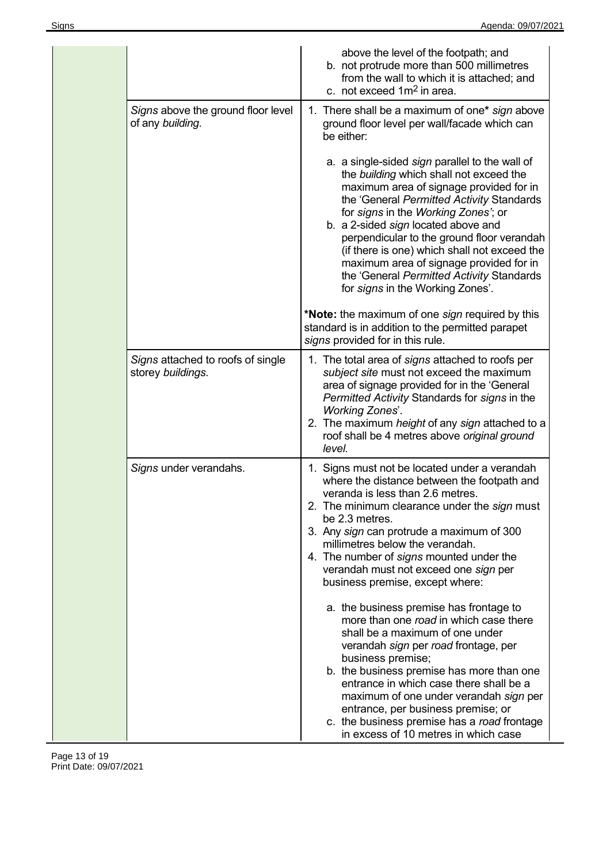|                                                        | above the level of the footpath; and<br>b. not protrude more than 500 millimetres<br>from the wall to which it is attached; and<br>c. not exceed 1m <sup>2</sup> in area.                                                                                                                                                                                                                                                                                                                 |
|--------------------------------------------------------|-------------------------------------------------------------------------------------------------------------------------------------------------------------------------------------------------------------------------------------------------------------------------------------------------------------------------------------------------------------------------------------------------------------------------------------------------------------------------------------------|
| Signs above the ground floor level<br>of any building. | 1. There shall be a maximum of one* sign above<br>ground floor level per wall/facade which can<br>be either:                                                                                                                                                                                                                                                                                                                                                                              |
|                                                        | a. a single-sided sign parallel to the wall of<br>the building which shall not exceed the<br>maximum area of signage provided for in<br>the 'General Permitted Activity Standards<br>for signs in the Working Zones'; or<br>b. a 2-sided sign located above and<br>perpendicular to the ground floor verandah<br>(if there is one) which shall not exceed the<br>maximum area of signage provided for in<br>the 'General Permitted Activity Standards<br>for signs in the Working Zones'. |
|                                                        | *Note: the maximum of one sign required by this<br>standard is in addition to the permitted parapet<br>signs provided for in this rule.                                                                                                                                                                                                                                                                                                                                                   |
| Signs attached to roofs of single<br>storey buildings. | 1. The total area of signs attached to roofs per<br>subject site must not exceed the maximum<br>area of signage provided for in the 'General<br>Permitted Activity Standards for signs in the<br><b>Working Zones'.</b><br>2. The maximum height of any sign attached to a<br>roof shall be 4 metres above original ground<br>level.                                                                                                                                                      |
| Signs under verandahs.                                 | 1. Signs must not be located under a verandah<br>where the distance between the footpath and<br>veranda is less than 2.6 metres.<br>2. The minimum clearance under the sign must<br>be 2.3 metres.<br>3. Any sign can protrude a maximum of 300<br>millimetres below the verandah.<br>4. The number of signs mounted under the<br>verandah must not exceed one sign per<br>business premise, except where:                                                                                |
|                                                        | a. the business premise has frontage to<br>more than one road in which case there<br>shall be a maximum of one under<br>verandah sign per road frontage, per<br>business premise;<br>b. the business premise has more than one<br>entrance in which case there shall be a<br>maximum of one under verandah sign per<br>entrance, per business premise; or<br>c. the business premise has a road frontage<br>in excess of 10 metres in which case                                          |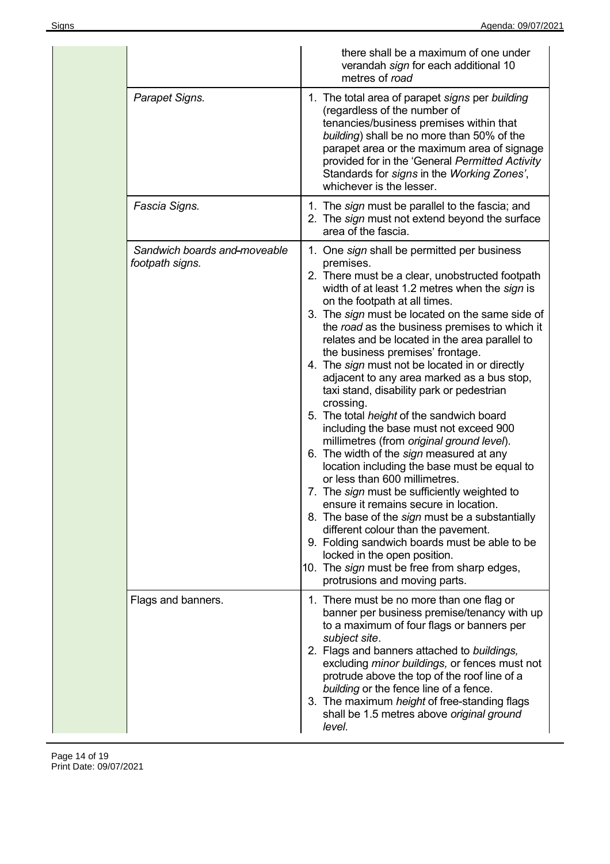|                                                 | there shall be a maximum of one under<br>verandah sign for each additional 10<br>metres of road                                                                                                                                                                                                                                                                                                                                                                                                                                                                                                                                                                                                                                                                                                                                                                                                                                                                                                                                                                                                                                              |
|-------------------------------------------------|----------------------------------------------------------------------------------------------------------------------------------------------------------------------------------------------------------------------------------------------------------------------------------------------------------------------------------------------------------------------------------------------------------------------------------------------------------------------------------------------------------------------------------------------------------------------------------------------------------------------------------------------------------------------------------------------------------------------------------------------------------------------------------------------------------------------------------------------------------------------------------------------------------------------------------------------------------------------------------------------------------------------------------------------------------------------------------------------------------------------------------------------|
| Parapet Signs.                                  | 1. The total area of parapet signs per building<br>(regardless of the number of<br>tenancies/business premises within that<br>building) shall be no more than 50% of the<br>parapet area or the maximum area of signage<br>provided for in the 'General Permitted Activity<br>Standards for signs in the Working Zones',<br>whichever is the lesser.                                                                                                                                                                                                                                                                                                                                                                                                                                                                                                                                                                                                                                                                                                                                                                                         |
| Fascia Signs.                                   | 1. The sign must be parallel to the fascia; and<br>2. The sign must not extend beyond the surface<br>area of the fascia.                                                                                                                                                                                                                                                                                                                                                                                                                                                                                                                                                                                                                                                                                                                                                                                                                                                                                                                                                                                                                     |
| Sandwich boards and moveable<br>footpath signs. | 1. One sign shall be permitted per business<br>premises.<br>2. There must be a clear, unobstructed footpath<br>width of at least 1.2 metres when the sign is<br>on the footpath at all times.<br>3. The sign must be located on the same side of<br>the road as the business premises to which it<br>relates and be located in the area parallel to<br>the business premises' frontage.<br>4. The sign must not be located in or directly<br>adjacent to any area marked as a bus stop,<br>taxi stand, disability park or pedestrian<br>crossing.<br>5. The total height of the sandwich board<br>including the base must not exceed 900<br>millimetres (from original ground level).<br>6. The width of the sign measured at any<br>location including the base must be equal to<br>or less than 600 millimetres.<br>7. The sign must be sufficiently weighted to<br>ensure it remains secure in location.<br>8. The base of the <i>sign</i> must be a substantially<br>different colour than the pavement.<br>9. Folding sandwich boards must be able to be<br>locked in the open position.<br>10. The sign must be free from sharp edges, |
| Flags and banners.                              | protrusions and moving parts.<br>1. There must be no more than one flag or                                                                                                                                                                                                                                                                                                                                                                                                                                                                                                                                                                                                                                                                                                                                                                                                                                                                                                                                                                                                                                                                   |
|                                                 | banner per business premise/tenancy with up<br>to a maximum of four flags or banners per<br>subject site.<br>2. Flags and banners attached to buildings,<br>excluding minor buildings, or fences must not<br>protrude above the top of the roof line of a<br>building or the fence line of a fence.<br>3. The maximum height of free-standing flags<br>shall be 1.5 metres above original ground<br>level.                                                                                                                                                                                                                                                                                                                                                                                                                                                                                                                                                                                                                                                                                                                                   |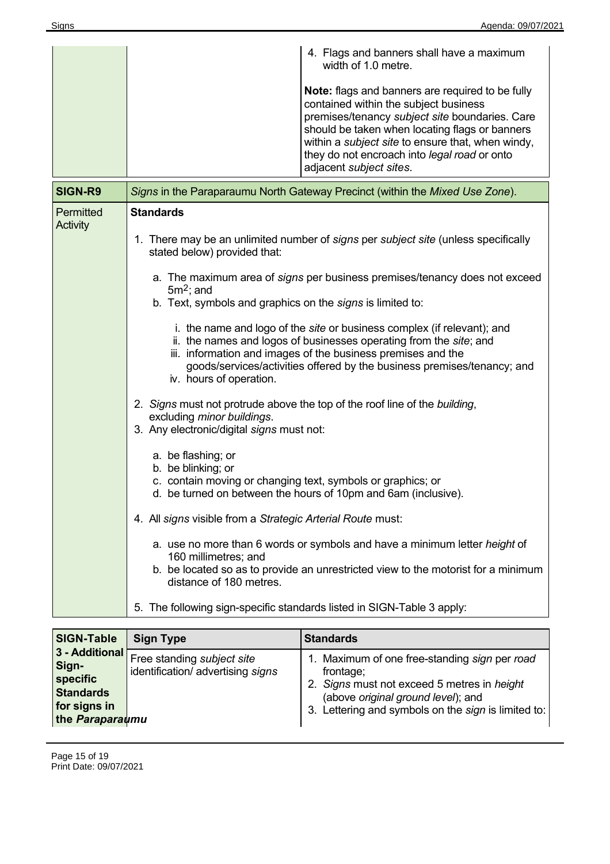|           | 4. Flags and banners shall have a maximum<br>width of 1.0 metre.<br>Note: flags and banners are required to be fully<br>contained within the subject business<br>premises/tenancy subject site boundaries. Care<br>should be taken when locating flags or banners<br>within a <i>subject site</i> to ensure that, when windy,<br>they do not encroach into legal road or onto<br>adjacent subject sites. |  |
|-----------|----------------------------------------------------------------------------------------------------------------------------------------------------------------------------------------------------------------------------------------------------------------------------------------------------------------------------------------------------------------------------------------------------------|--|
| SIGN-R9   | Signs in the Paraparaumu North Gateway Precinct (within the Mixed Use Zone).                                                                                                                                                                                                                                                                                                                             |  |
| Permitted | <b>Standards</b>                                                                                                                                                                                                                                                                                                                                                                                         |  |
| Activity  | 1. There may be an unlimited number of signs per subject site (unless specifically<br>stated below) provided that:                                                                                                                                                                                                                                                                                       |  |
|           | a. The maximum area of signs per business premises/tenancy does not exceed<br>$5m2$ ; and<br>b. Text, symbols and graphics on the signs is limited to:                                                                                                                                                                                                                                                   |  |
|           | i. the name and logo of the site or business complex (if relevant); and<br>ii. the names and logos of businesses operating from the site; and<br>iii. information and images of the business premises and the<br>goods/services/activities offered by the business premises/tenancy; and<br>iv. hours of operation.                                                                                      |  |
|           | 2. Signs must not protrude above the top of the roof line of the building,<br>excluding minor buildings.<br>3. Any electronic/digital signs must not:                                                                                                                                                                                                                                                    |  |
|           | a. be flashing; or<br>b. be blinking; or<br>c. contain moving or changing text, symbols or graphics; or<br>d. be turned on between the hours of 10pm and 6am (inclusive).                                                                                                                                                                                                                                |  |
|           | 4. All signs visible from a Strategic Arterial Route must:                                                                                                                                                                                                                                                                                                                                               |  |
|           | a. use no more than 6 words or symbols and have a minimum letter <i>height</i> of<br>160 millimetres; and<br>b. be located so as to provide an unrestricted view to the motorist for a minimum<br>distance of 180 metres.                                                                                                                                                                                |  |
|           | 5. The following sign-specific standards listed in SIGN-Table 3 apply:                                                                                                                                                                                                                                                                                                                                   |  |

| <b>SIGN-Table</b>                                                                          | <b>Sign Type</b>                                                | <b>Standards</b>                                                                                                                                                                                       |
|--------------------------------------------------------------------------------------------|-----------------------------------------------------------------|--------------------------------------------------------------------------------------------------------------------------------------------------------------------------------------------------------|
| 3 - Additional<br>Sign-<br>specific<br><b>Standards</b><br>for signs in<br>the Paraparaumu | Free standing subject site<br>identification/ advertising signs | 1. Maximum of one free-standing sign per road<br>frontage;<br>2. Signs must not exceed 5 metres in height<br>(above original ground level); and<br>3. Lettering and symbols on the sign is limited to: |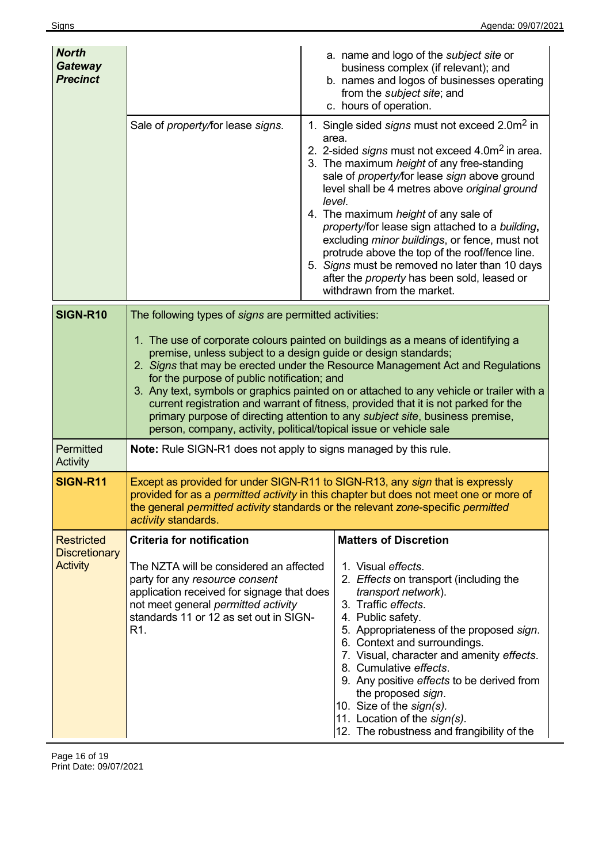| <b>North</b><br><b>Gateway</b><br><b>Precinct</b> |                                                                                                                                                                                                                                                                                                                                                                                                                                                                                                                                                                                                                                                                                         | a. name and logo of the subject site or<br>business complex (if relevant); and<br>b. names and logos of businesses operating<br>from the subject site; and<br>c. hours of operation.                                                                                                                                                                                                                                                                                                                                                                                                                                                    |
|---------------------------------------------------|-----------------------------------------------------------------------------------------------------------------------------------------------------------------------------------------------------------------------------------------------------------------------------------------------------------------------------------------------------------------------------------------------------------------------------------------------------------------------------------------------------------------------------------------------------------------------------------------------------------------------------------------------------------------------------------------|-----------------------------------------------------------------------------------------------------------------------------------------------------------------------------------------------------------------------------------------------------------------------------------------------------------------------------------------------------------------------------------------------------------------------------------------------------------------------------------------------------------------------------------------------------------------------------------------------------------------------------------------|
|                                                   | Sale of property/for lease signs.                                                                                                                                                                                                                                                                                                                                                                                                                                                                                                                                                                                                                                                       | 1. Single sided signs must not exceed 2.0m <sup>2</sup> in<br>area.<br>2. 2-sided signs must not exceed 4.0m <sup>2</sup> in area.<br>3. The maximum height of any free-standing<br>sale of property/for lease sign above ground<br>level shall be 4 metres above original ground<br>level.<br>4. The maximum height of any sale of<br>property/for lease sign attached to a building,<br>excluding <i>minor buildings</i> , or fence, must not<br>protrude above the top of the roof/fence line.<br>5. Signs must be removed no later than 10 days<br>after the <i>property</i> has been sold, leased or<br>withdrawn from the market. |
| SIGN-R10                                          | The following types of signs are permitted activities:<br>1. The use of corporate colours painted on buildings as a means of identifying a<br>premise, unless subject to a design guide or design standards;<br>2. Signs that may be erected under the Resource Management Act and Regulations<br>for the purpose of public notification; and<br>3. Any text, symbols or graphics painted on or attached to any vehicle or trailer with a<br>current registration and warrant of fitness, provided that it is not parked for the<br>primary purpose of directing attention to any subject site, business premise,<br>person, company, activity, political/topical issue or vehicle sale |                                                                                                                                                                                                                                                                                                                                                                                                                                                                                                                                                                                                                                         |
| Permitted<br>Activity                             | <b>Note:</b> Rule SIGN-R1 does not apply to signs managed by this rule.                                                                                                                                                                                                                                                                                                                                                                                                                                                                                                                                                                                                                 |                                                                                                                                                                                                                                                                                                                                                                                                                                                                                                                                                                                                                                         |
| <b>SIGN-R11</b>                                   | activity standards.                                                                                                                                                                                                                                                                                                                                                                                                                                                                                                                                                                                                                                                                     | Except as provided for under SIGN-R11 to SIGN-R13, any sign that is expressly<br>provided for as a <i>permitted activity</i> in this chapter but does not meet one or more of<br>the general permitted activity standards or the relevant zone-specific permitted                                                                                                                                                                                                                                                                                                                                                                       |
| <b>Restricted</b>                                 | <b>Criteria for notification</b>                                                                                                                                                                                                                                                                                                                                                                                                                                                                                                                                                                                                                                                        | <b>Matters of Discretion</b>                                                                                                                                                                                                                                                                                                                                                                                                                                                                                                                                                                                                            |
| <b>Discretionary</b><br><b>Activity</b>           | The NZTA will be considered an affected<br>party for any resource consent<br>application received for signage that does<br>not meet general permitted activity<br>standards 11 or 12 as set out in SIGN-<br>R <sub>1</sub>                                                                                                                                                                                                                                                                                                                                                                                                                                                              | 1. Visual effects.<br>2. Effects on transport (including the<br>transport network).<br>3. Traffic effects.<br>4. Public safety.<br>5. Appropriateness of the proposed sign.<br>6. Context and surroundings.<br>7. Visual, character and amenity effects.<br>8. Cumulative effects.<br>9. Any positive effects to be derived from<br>the proposed sign.<br>10. Size of the sign(s).<br>11. Location of the sign(s).<br>12. The robustness and frangibility of the                                                                                                                                                                        |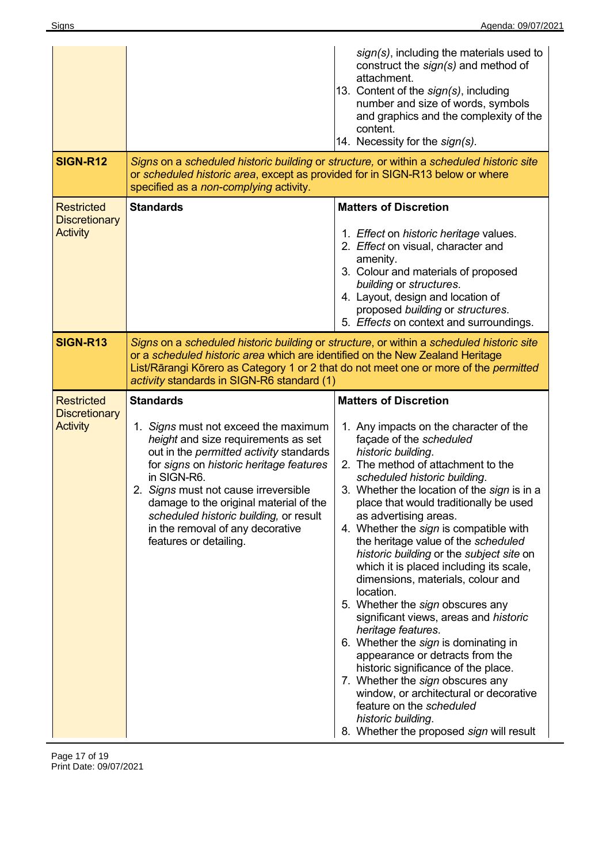|                                                              |                                                                                                                                                                                                                                                                                                                                                                                                       | sign(s), including the materials used to<br>construct the sign(s) and method of<br>attachment.<br>13. Content of the sign(s), including<br>number and size of words, symbols<br>and graphics and the complexity of the<br>content.<br>14. Necessity for the sign(s).                                                                                                                                                                                                                                                                                                                                                                                                                                                                                                                                                                         |
|--------------------------------------------------------------|-------------------------------------------------------------------------------------------------------------------------------------------------------------------------------------------------------------------------------------------------------------------------------------------------------------------------------------------------------------------------------------------------------|----------------------------------------------------------------------------------------------------------------------------------------------------------------------------------------------------------------------------------------------------------------------------------------------------------------------------------------------------------------------------------------------------------------------------------------------------------------------------------------------------------------------------------------------------------------------------------------------------------------------------------------------------------------------------------------------------------------------------------------------------------------------------------------------------------------------------------------------|
| <b>SIGN-R12</b>                                              | or scheduled historic area, except as provided for in SIGN-R13 below or where<br>specified as a non-complying activity.                                                                                                                                                                                                                                                                               | Signs on a scheduled historic building or structure, or within a scheduled historic site                                                                                                                                                                                                                                                                                                                                                                                                                                                                                                                                                                                                                                                                                                                                                     |
| <b>Restricted</b><br><b>Discretionary</b><br><b>Activity</b> | <b>Standards</b>                                                                                                                                                                                                                                                                                                                                                                                      | <b>Matters of Discretion</b><br>1. Effect on historic heritage values.<br>2. Effect on visual, character and<br>amenity.<br>3. Colour and materials of proposed<br>building or structures.<br>4. Layout, design and location of<br>proposed building or structures.<br>5. Effects on context and surroundings.                                                                                                                                                                                                                                                                                                                                                                                                                                                                                                                               |
| <b>SIGN-R13</b>                                              | or a scheduled historic area which are identified on the New Zealand Heritage<br>activity standards in SIGN-R6 standard (1)                                                                                                                                                                                                                                                                           | Signs on a scheduled historic building or structure, or within a scheduled historic site<br>List/Rārangi Kōrero as Category 1 or 2 that do not meet one or more of the permitted                                                                                                                                                                                                                                                                                                                                                                                                                                                                                                                                                                                                                                                             |
| <b>Restricted</b><br><b>Discretionary</b><br><b>Activity</b> | <b>Standards</b><br>1. Signs must not exceed the maximum<br>height and size requirements as set<br>out in the <i>permitted activity</i> standards<br>for signs on historic heritage features<br>in SIGN-R6.<br>2. Signs must not cause irreversible<br>damage to the original material of the<br>scheduled historic building, or result<br>in the removal of any decorative<br>features or detailing. | <b>Matters of Discretion</b><br>1. Any impacts on the character of the<br>façade of the scheduled<br>historic building.<br>2. The method of attachment to the<br>scheduled historic building.<br>3. Whether the location of the sign is in a<br>place that would traditionally be used<br>as advertising areas.<br>4. Whether the sign is compatible with<br>the heritage value of the scheduled<br>historic building or the subject site on<br>which it is placed including its scale,<br>dimensions, materials, colour and<br>location.<br>5. Whether the sign obscures any<br>significant views, areas and historic<br>heritage features.<br>6. Whether the sign is dominating in<br>appearance or detracts from the<br>historic significance of the place.<br>7. Whether the sign obscures any<br>window, or architectural or decorative |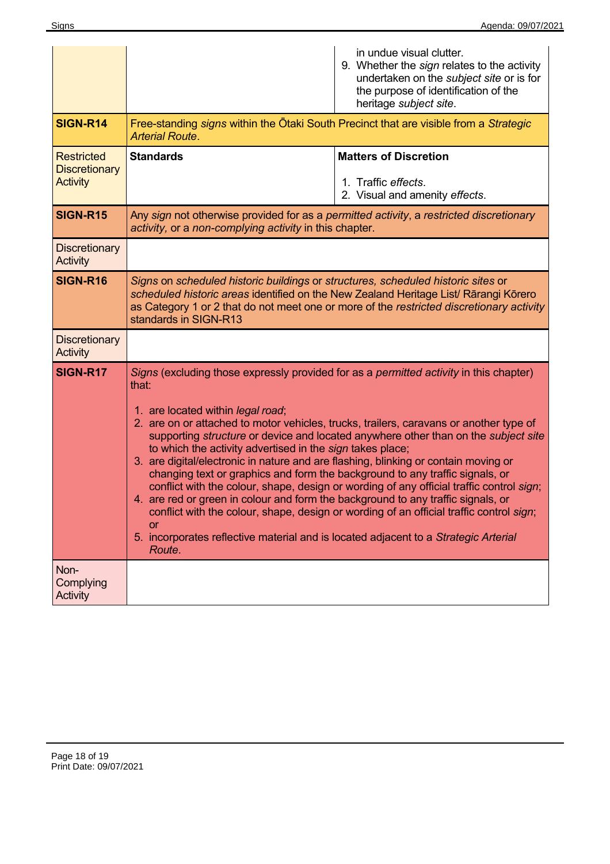|                                                              | in undue visual clutter.<br>9. Whether the sign relates to the activity<br>undertaken on the subject site or is for<br>the purpose of identification of the<br>heritage subject site.                                                                                                                                                                                                                                                                                                                                                                                                                                                                                                                                                                                                                                                                                                                                                                       |  |
|--------------------------------------------------------------|-------------------------------------------------------------------------------------------------------------------------------------------------------------------------------------------------------------------------------------------------------------------------------------------------------------------------------------------------------------------------------------------------------------------------------------------------------------------------------------------------------------------------------------------------------------------------------------------------------------------------------------------------------------------------------------------------------------------------------------------------------------------------------------------------------------------------------------------------------------------------------------------------------------------------------------------------------------|--|
| <b>SIGN-R14</b>                                              | Free-standing <i>signs</i> within the Otaki South Precinct that are visible from a <i>Strategic</i><br><b>Arterial Route.</b>                                                                                                                                                                                                                                                                                                                                                                                                                                                                                                                                                                                                                                                                                                                                                                                                                               |  |
| <b>Restricted</b><br><b>Discretionary</b><br><b>Activity</b> | <b>Standards</b><br><b>Matters of Discretion</b><br>1. Traffic effects.<br>2. Visual and amenity effects.                                                                                                                                                                                                                                                                                                                                                                                                                                                                                                                                                                                                                                                                                                                                                                                                                                                   |  |
| <b>SIGN-R15</b>                                              | Any sign not otherwise provided for as a permitted activity, a restricted discretionary<br>activity, or a non-complying activity in this chapter.                                                                                                                                                                                                                                                                                                                                                                                                                                                                                                                                                                                                                                                                                                                                                                                                           |  |
| <b>Discretionary</b><br><b>Activity</b>                      |                                                                                                                                                                                                                                                                                                                                                                                                                                                                                                                                                                                                                                                                                                                                                                                                                                                                                                                                                             |  |
| <b>SIGN-R16</b>                                              | Signs on scheduled historic buildings or structures, scheduled historic sites or<br>scheduled historic areas identified on the New Zealand Heritage List/ Rārangi Kōrero<br>as Category 1 or 2 that do not meet one or more of the restricted discretionary activity<br>standards in SIGN-R13                                                                                                                                                                                                                                                                                                                                                                                                                                                                                                                                                                                                                                                               |  |
| <b>Discretionary</b><br><b>Activity</b>                      |                                                                                                                                                                                                                                                                                                                                                                                                                                                                                                                                                                                                                                                                                                                                                                                                                                                                                                                                                             |  |
| <b>SIGN-R17</b>                                              | Signs (excluding those expressly provided for as a <i>permitted activity</i> in this chapter)<br>that:<br>1. are located within legal road;<br>2. are on or attached to motor vehicles, trucks, trailers, caravans or another type of<br>supporting structure or device and located anywhere other than on the subject site<br>to which the activity advertised in the sign takes place;<br>3. are digital/electronic in nature and are flashing, blinking or contain moving or<br>changing text or graphics and form the background to any traffic signals, or<br>conflict with the colour, shape, design or wording of any official traffic control sign;<br>are red or green in colour and form the background to any traffic signals, or<br>4.<br>conflict with the colour, shape, design or wording of an official traffic control sign;<br><b>or</b><br>5. incorporates reflective material and is located adjacent to a Strategic Arterial<br>Route. |  |
| Non-<br>Complying<br><b>Activity</b>                         |                                                                                                                                                                                                                                                                                                                                                                                                                                                                                                                                                                                                                                                                                                                                                                                                                                                                                                                                                             |  |